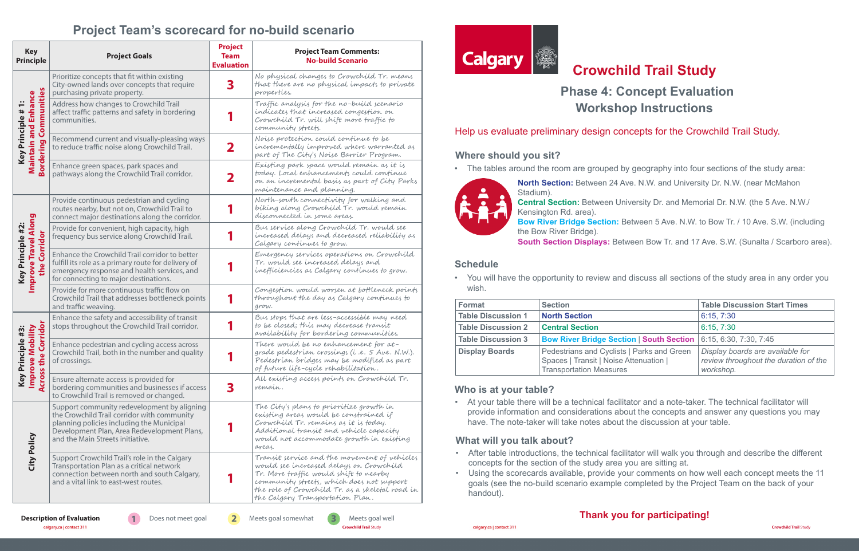**Crowchild Trail** Study **Crowchild Trail** Study

# **Crowchild Trail Study Phase 4: Concept Evaluation Workshop Instructions**

### Help us evaluate preliminary design concepts for the Crowchild Trail Study.

## **Who is at your table?**

• At your table there will be a technical facilitator and a note-taker. The technical facilitator will provide information and considerations about the concepts and answer any questions you may

have. The note-taker will take notes about the discussion at your table.

## **What will you talk about?**

• After table introductions, the technical facilitator will walk you through and describe the different

- concepts for the section of the study area you are sitting at.
- handout).

**Description of Evaluation 1** Does not meet goal **2** Meets goal somewhat **3** Meets goal well Conditionary.ca | contact 311





• Using the scorecards available, provide your comments on how well each concept meets the 11 goals (see the no-build scenario example completed by the Project Team on the back of your

• The tables around the room are grouped by geography into four sections of the study area:



**North Section:** Between 24 Ave. N.W. and University Dr. N.W. (near McMahon

Stadium). **Central Section:** Between University Dr. and Memorial Dr. N.W. (the 5 Ave. N.W./ Kensington Rd. area). **Bow River Bridge Section:** Between 5 Ave. N.W. to Bow Tr. / 10 Ave. S.W. (including the Bow River Bridge). **South Section Displays:** Between Bow Tr. and 17 Ave. S.W. (Sunalta / Scarboro area).

#### **Where should you sit?**

# **Thank you for participating!**

# **Project Team's scorecard for no-build scenario**

| <b>Key</b><br><b>Principle</b>                                                       | <b>Project Goals</b>                                                                                                                                                                                                       | <b>Project</b><br><b>Team</b><br><b>Evaluation</b> | <b>Project Team Comments:</b><br><b>No-build Scenario</b>                                                                                                                                                                                                             |
|--------------------------------------------------------------------------------------|----------------------------------------------------------------------------------------------------------------------------------------------------------------------------------------------------------------------------|----------------------------------------------------|-----------------------------------------------------------------------------------------------------------------------------------------------------------------------------------------------------------------------------------------------------------------------|
| Communities<br><b>Maintain and Enhance</b><br>Key Principle # 1:<br><b>Bordering</b> | Prioritize concepts that fit within existing<br>City-owned lands over concepts that require<br>purchasing private property.                                                                                                | 3                                                  | No physical changes to Crowchild Tr. means<br>that there are no physical impacts to private<br>properties.                                                                                                                                                            |
|                                                                                      | Address how changes to Crowchild Trail<br>affect traffic patterns and safety in bordering<br>communities.                                                                                                                  |                                                    | Traffic analysis for the no-build scenario<br>indicates that increased congestion on<br>Crowchild Tr. will shift more traffic to<br>community streets.                                                                                                                |
|                                                                                      | Recommend current and visually-pleasing ways<br>to reduce traffic noise along Crowchild Trail.                                                                                                                             | フ                                                  | Noise protection could continue to be<br>incrementally improved where warranted as<br>part of The City's Noise Barrier Program.                                                                                                                                       |
|                                                                                      | Enhance green spaces, park spaces and<br>pathways along the Crowchild Trail corridor.                                                                                                                                      |                                                    | Existing park space would remain as it is<br>today. Local enhancements could continue<br>on an incremental basis as part of City Parks<br>maintenance and planning.                                                                                                   |
| <b>Improve Travel Along</b><br>Key Principle #2:<br>Corridor<br>the                  | Provide continuous pedestrian and cycling<br>routes nearby, but not on, Crowchild Trail to<br>connect major destinations along the corridor.                                                                               |                                                    | North-south connectivity for walking and<br>biking along Crowchild Tr. would remain<br>disconnected in some areas.                                                                                                                                                    |
|                                                                                      | Provide for convenient, high capacity, high<br>frequency bus service along Crowchild Trail.                                                                                                                                |                                                    | Bus service along Crowchild Tr. would see<br>increased delays and decreased reliability as<br>Calgary continues to grow.                                                                                                                                              |
|                                                                                      | Enhance the Crowchild Trail corridor to better<br>fulfill its role as a primary route for delivery of<br>emergency response and health services, and<br>for connecting to major destinations.                              |                                                    | Emergency services operations on Crowchild<br>Tr. would see increased delays and<br>inefficiencies as Calgary continues to grow.                                                                                                                                      |
|                                                                                      | Provide for more continuous traffic flow on<br>Crowchild Trail that addresses bottleneck points<br>and traffic weaving.                                                                                                    |                                                    | Congestion would worsen at bottleneck points<br>throughout the day as Calgary continues to<br>grow.                                                                                                                                                                   |
| e Corrido<br>nciple #3:<br>a Mobility<br>Improve<br>Key Prin<br>÷                    | Enhance the safety and accessibility of transit<br>stops throughout the Crowchild Trail corridor.                                                                                                                          |                                                    | Bus stops that are less-accessible may need<br>to be closed; this may decrease transit<br>availability for bordering communities.                                                                                                                                     |
|                                                                                      | Enhance pedestrian and cycling access across<br>Crowchild Trail, both in the number and quality<br>of crossings.                                                                                                           |                                                    | There would be no enhancement for at-<br>grade pedestrian crossings (i.e. 5 Ave. N.W.).<br>Pedestrian bridges may be modified as part<br>of future life-cycle rehabilitation.                                                                                         |
| Across <sup>+</sup>                                                                  | Ensure alternate access is provided for<br>bordering communities and businesses if access<br>to Crowchild Trail is removed or changed.                                                                                     | 3                                                  | All existing access points on Crowchild Tr.<br>remain.                                                                                                                                                                                                                |
| City Policy                                                                          | Support community redevelopment by aligning<br>the Crowchild Trail corridor with community<br>planning policies including the Municipal<br>Development Plan, Area Redevelopment Plans,<br>and the Main Streets initiative. |                                                    | The City's plans to prioritize growth in<br>existing areas would be constrained if<br>Crowchild Tr. remains as it is today.<br>Additional transit and vehicle capacity<br>would not accommodate growth in existing<br>areas.                                          |
|                                                                                      | Support Crowchild Trail's role in the Calgary<br>Transportation Plan as a critical network<br>connection between north and south Calgary,<br>and a vital link to east-west routes.                                         |                                                    | Transit service and the movement of vehicles<br>would see increased delays on Crowchild<br>Tr. More traffic would shift to nearby<br>community streets, which does not support<br>the role of Crowchild Tr. as a skeletal road in<br>the Calgary Transportation Plan. |



• You will have the opportunity to review and discuss all sections of the study area in any order you

wish.

| Format                    | <b>Section</b>                                                                                                         | <b>Table Discussion Start Times</b>                                                    |
|---------------------------|------------------------------------------------------------------------------------------------------------------------|----------------------------------------------------------------------------------------|
| <b>Table Discussion 1</b> | <b>North Section</b>                                                                                                   | 6:15, 7:30                                                                             |
| <b>Table Discussion 2</b> | <b>Central Section</b>                                                                                                 | 6:15, 7:30                                                                             |
| <b>Table Discussion 3</b> | <b>Bow River Bridge Section   South Section   6:15, 6:30, 7:30, 7:45</b>                                               |                                                                                        |
| <b>Display Boards</b>     | Pedestrians and Cyclists   Parks and Green<br>Spaces   Transit   Noise Attenuation  <br><b>Transportation Measures</b> | Display boards are available for<br>review throughout the duration of the<br>workshop. |

### **Schedule**